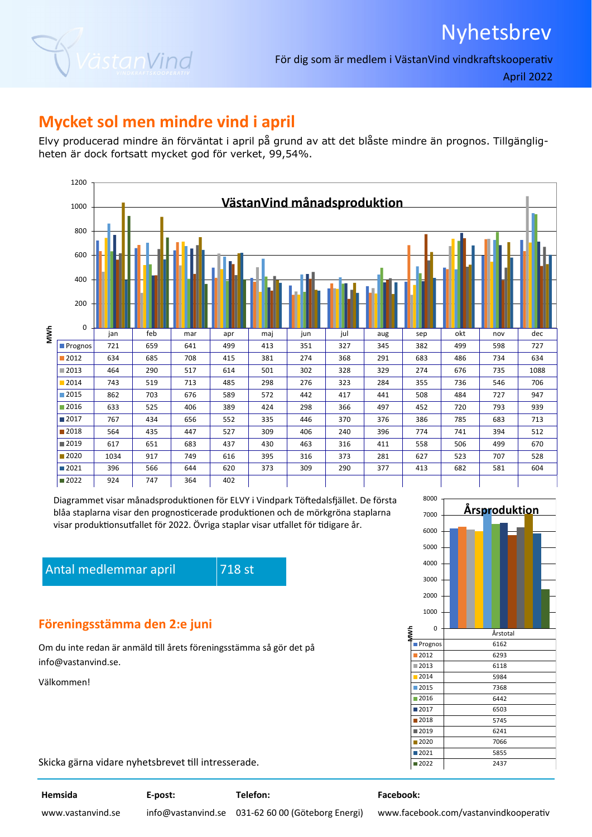



För dig som är medlem i VästanVind vindkraftskooperativ

April 2022

### **Mycket sol men mindre vind i april**

Elvy producerad mindre än förväntat i april på grund av att det blåste mindre än prognos. Tillgängligheten är dock fortsatt mycket god för verket, 99,54%.



Diagrammet visar månadsproduktionen för ELVY i Vindpark Töftedalsfjället. De första blåa staplarna visar den prognosticerade produktionen och de mörkgröna staplarna visar produktionsutfallet för 2022. Övriga staplar visar utfallet för tidigare år.

Antal medlemmar april **718** st

#### **Föreningsstämma den 2:e juni**

Om du inte redan är anmäld till årets föreningsstämma så gör det på info@vastanvind.se.

Välkommen!



**MWh**

Skicka gärna vidare nyhetsbrevet till intresserade.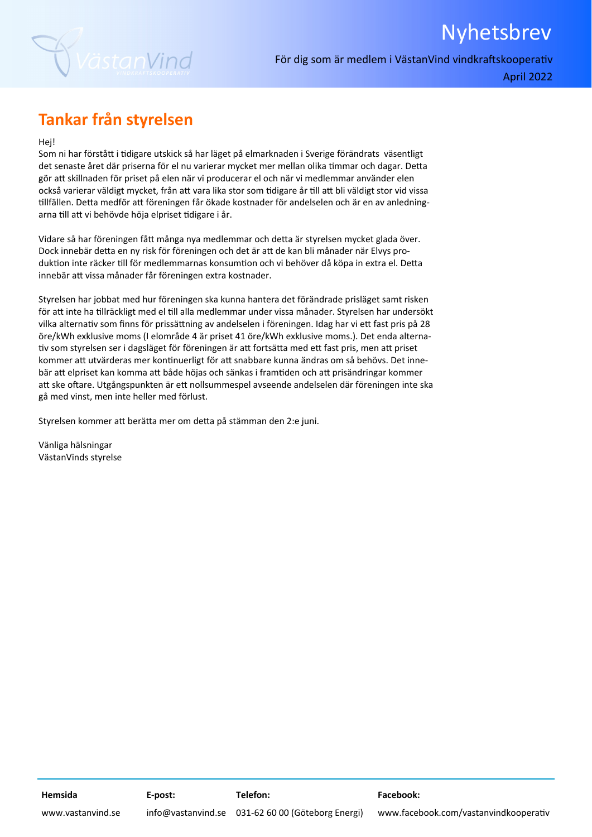

April 2022

Nyhetsbrev

# **Tankar från styrelsen**

Hej!

Som ni har förstått i tidigare utskick så har läget på elmarknaden i Sverige förändrats väsentligt det senaste året där priserna för el nu varierar mycket mer mellan olika timmar och dagar. Detta gör att skillnaden för priset på elen när vi producerar el och när vi medlemmar använder elen också varierar väldigt mycket, från att vara lika stor som tidigare år till att bli väldigt stor vid vissa tillfällen. Detta medför att föreningen får ökade kostnader för andelselen och är en av anledningarna till att vi behövde höja elpriset tidigare i år.

Vidare så har föreningen fått många nya medlemmar och detta är styrelsen mycket glada över. Dock innebär detta en ny risk för föreningen och det är att de kan bli månader när Elvys produktion inte räcker till för medlemmarnas konsumtion och vi behöver då köpa in extra el. Detta innebär aƩ vissa månader får föreningen extra kostnader.

Styrelsen har jobbat med hur föreningen ska kunna hantera det förändrade prisläget samt risken för att inte ha tillräckligt med el till alla medlemmar under vissa månader. Styrelsen har undersökt vilka alternativ som finns för prissättning av andelselen i föreningen. Idag har vi ett fast pris på 28 öre/kWh exklusive moms (I elområde 4 är priset 41 öre/kWh exklusive moms.). Det enda alterna‐ tiv som styrelsen ser i dagsläget för föreningen är att fortsätta med ett fast pris, men att priset kommer att utvärderas mer kontinuerligt för att snabbare kunna ändras om så behövs. Det innebär att elpriset kan komma att både höjas och sänkas i framtiden och att prisändringar kommer att ske oftare. Utgångspunkten är ett nollsummespel avseende andelselen där föreningen inte ska gå med vinst, men inte heller med förlust.

Styrelsen kommer att berätta mer om detta på stämman den 2:e juni.

Vänliga hälsningar VästanVinds styrelse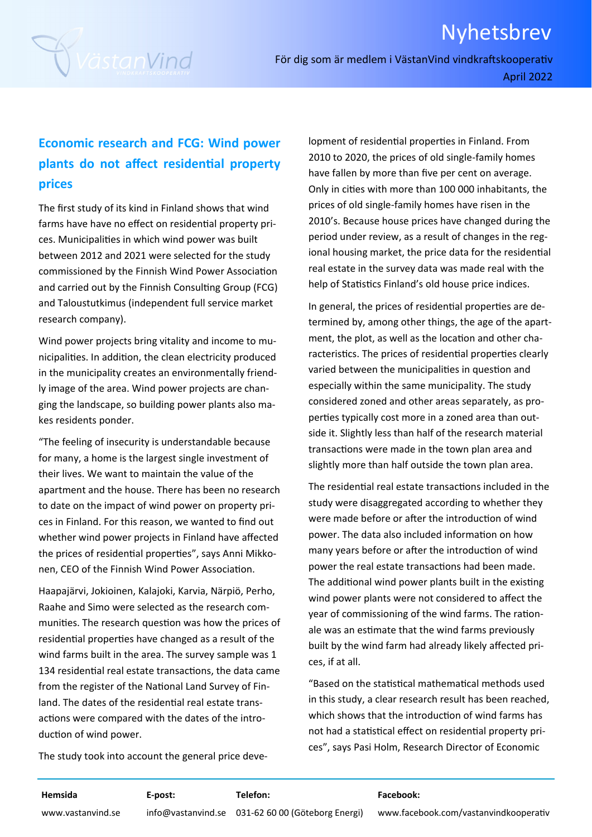



För dig som är medlem i VästanVind vindkraftskooperativ April 2022

### **Economic research and FCG: Wind power plants do not affect residenƟal property prices**

The first study of its kind in Finland shows that wind farms have have no effect on residential property prices. Municipalities in which wind power was built between 2012 and 2021 were selected for the study commissioned by the Finnish Wind Power Association and carried out by the Finnish Consulting Group (FCG) and Taloustutkimus (independent full service market research company).

Wind power projects bring vitality and income to municipalities. In addition, the clean electricity produced in the municipality creates an environmentally friend‐ ly image of the area. Wind power projects are chan‐ ging the landscape, so building power plants also ma‐ kes residents ponder.

"The feeling of insecurity is understandable because for many, a home is the largest single investment of their lives. We want to maintain the value of the apartment and the house. There has been no research to date on the impact of wind power on property pri‐ ces in Finland. For this reason, we wanted to find out whether wind power projects in Finland have affected the prices of residential properties", says Anni Mikkonen, CEO of the Finnish Wind Power Association.

Haapajärvi, Jokioinen, Kalajoki, Karvia, Närpiö, Perho, Raahe and Simo were selected as the research com‐ munities. The research question was how the prices of residential properties have changed as a result of the wind farms built in the area. The survey sample was 1 134 residential real estate transactions, the data came from the register of the National Land Survey of Finland. The dates of the residential real estate transactions were compared with the dates of the introduction of wind power.

The study took into account the general price deve‐

lopment of residential properties in Finland. From 2010 to 2020, the prices of old single‐family homes have fallen by more than five per cent on average. Only in cities with more than 100 000 inhabitants, the prices of old single‐family homes have risen in the 2010's. Because house prices have changed during the period under review, as a result of changes in the reg‐ ional housing market, the price data for the residential real estate in the survey data was made real with the help of Statistics Finland's old house price indices.

In general, the prices of residential properties are determined by, among other things, the age of the apart‐ ment, the plot, as well as the location and other characteristics. The prices of residential properties clearly varied between the municipalities in question and especially within the same municipality. The study considered zoned and other areas separately, as pro‐ perties typically cost more in a zoned area than outside it. Slightly less than half of the research material transactions were made in the town plan area and slightly more than half outside the town plan area.

The residential real estate transactions included in the study were disaggregated according to whether they were made before or after the introduction of wind power. The data also included information on how many years before or after the introduction of wind power the real estate transactions had been made. The additional wind power plants built in the existing wind power plants were not considered to affect the year of commissioning of the wind farms. The rationale was an estimate that the wind farms previously built by the wind farm had already likely affected pri‐ ces, if at all.

"Based on the statistical mathematical methods used in this study, a clear research result has been reached, which shows that the introduction of wind farms has not had a statistical effect on residential property prices", says Pasi Holm, Research Director of Economic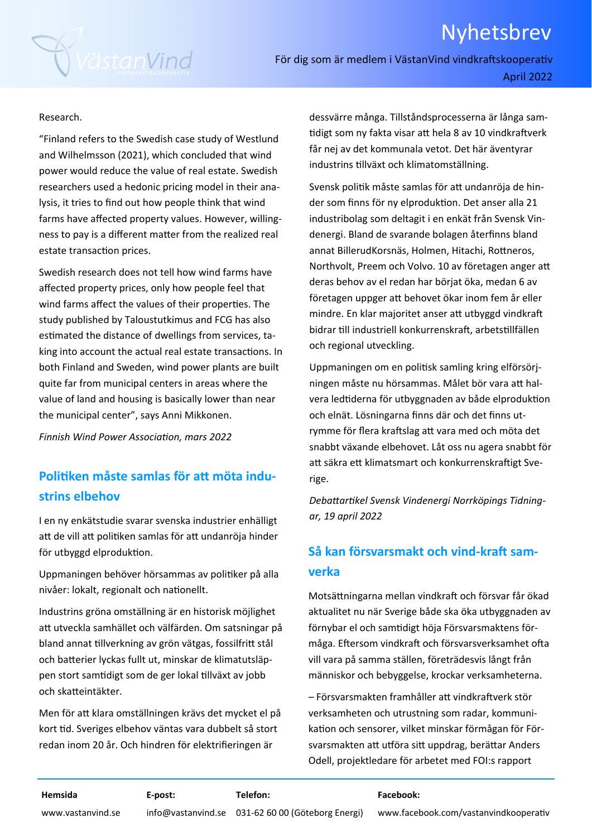# Nyhetsbrev



För dig som är medlem i VästanVind vindkraftskooperativ April 2022

#### Research.

"Finland refers to the Swedish case study of Westlund and Wilhelmsson (2021), which concluded that wind power would reduce the value of real estate. Swedish researchers used a hedonic pricing model in their ana‐ lysis, it tries to find out how people think that wind farms have affected property values. However, willing‐ ness to pay is a different matter from the realized real estate transaction prices.

Swedish research does not tell how wind farms have affected property prices, only how people feel that wind farms affect the values of their properties. The study published by Taloustutkimus and FCG has also estimated the distance of dwellings from services, taking into account the actual real estate transactions. In both Finland and Sweden, wind power plants are built quite far from municipal centers in areas where the value of land and housing is basically lower than near the municipal center", says Anni Mikkonen.

*Finnish Wind Power AssociaƟon, mars 2022* 

### **PoliƟken måste samlas för aƩ möta indu‐ strins elbehov**

I en ny enkätstudie svarar svenska industrier enhälligt att de vill att politiken samlas för att undanröja hinder för utbyggd elproduktion.

Uppmaningen behöver hörsammas av politiker på alla nivåer: lokalt, regionalt och nationellt.

Industrins gröna omställning är en historisk möjlighet aƩ utveckla samhället och välfärden. Om satsningar på bland annat tillverkning av grön vätgas, fossilfritt stål och batterier lyckas fullt ut, minskar de klimatutsläppen stort samtidigt som de ger lokal tillväxt av jobb och skatteintäkter.

Men för aƩ klara omställningen krävs det mycket el på kort Ɵd. Sveriges elbehov väntas vara dubbelt så stort redan inom 20 år. Och hindren för elektrifieringen är

dessvärre många. Tillståndsprocesserna är långa sam‐ tidigt som ny fakta visar att hela 8 av 10 vindkraftverk får nej av det kommunala vetot. Det här äventyrar industrins tillväxt och klimatomställning.

Svensk poliƟk måste samlas för aƩ undanröja de hin‐ der som finns för ny elproduktion. Det anser alla 21 industribolag som deltagit i en enkät från Svensk Vin‐ denergi. Bland de svarande bolagen återfinns bland annat BillerudKorsnäs, Holmen, Hitachi, Rottneros, Northvolt, Preem och Volvo. 10 av företagen anger att deras behov av el redan har börjat öka, medan 6 av företagen uppger aƩ behovet ökar inom fem år eller mindre. En klar majoritet anser att utbyggd vindkraft bidrar till industriell konkurrenskraft, arbetstillfällen och regional utveckling.

Uppmaningen om en poliƟsk samling kring elförsörj‐ ningen måste nu hörsammas. Målet bör vara aƩ hal‐ vera ledtiderna för utbyggnaden av både elproduktion och elnät. Lösningarna finns där och det finns ut‐ rymme för flera kraftslag att vara med och möta det snabbt växande elbehovet. Låt oss nu agera snabbt för att säkra ett klimatsmart och konkurrenskraftigt Sverige.

*DebaƩarƟkel Svensk Vindenergi Norrköpings Tidningar, 19 april 2022* 

#### $S$ å kan **försvarsmakt** och vind-kraft sam**verka**

Motsättningarna mellan vindkraft och försvar får ökad aktualitet nu när Sverige både ska öka utbyggnaden av förnybar el och samƟdigt höja Försvarsmaktens för‐ måga. Eftersom vindkraft och försvarsverksamhet ofta vill vara på samma ställen, företrädesvis långt från människor och bebyggelse, krockar verksamheterna.

– Försvarsmakten framhåller att vindkraftverk stör verksamheten och utrustning som radar, kommuni‐ kaƟon och sensorer, vilket minskar förmågan för För‐ svarsmakten att utföra sitt uppdrag, berättar Anders Odell, projektledare för arbetet med FOI:s rapport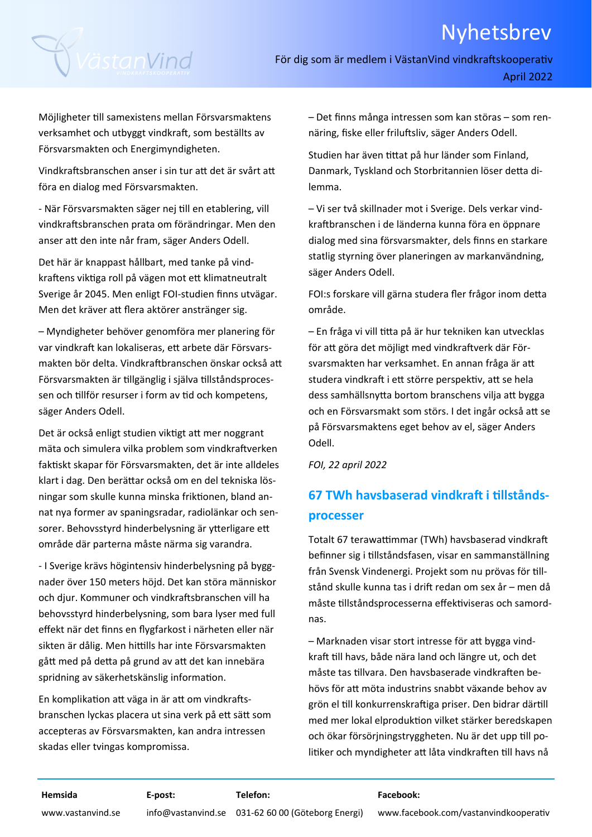# Nyhetsbrev



För dig som är medlem i VästanVind vindkraftskooperativ April 2022

Möjligheter Ɵll samexistens mellan Försvarsmaktens verksamhet och utbyggt vindkraft, som beställts av Försvarsmakten och Energimyndigheten.

Vindkraftsbranschen anser i sin tur att det är svårt att föra en dialog med Försvarsmakten.

‐ När Försvarsmakten säger nej Ɵll en etablering, vill vindkraftsbranschen prata om förändringar. Men den anser aƩ den inte når fram, säger Anders Odell.

Det här är knappast hållbart, med tanke på vind‐ kraftens viktiga roll på vägen mot ett klimatneutralt Sverige år 2045. Men enligt FOI‐studien finns utvägar. Men det kräver aƩ flera aktörer anstränger sig.

– Myndigheter behöver genomföra mer planering för var vindkraft kan lokaliseras, ett arbete där Försvarsmakten bör delta. Vindkraftbranschen önskar också att Försvarsmakten är tillgänglig i själva tillståndsprocessen och tillför resurser i form av tid och kompetens, säger Anders Odell.

Det är också enligt studien viktigt att mer noggrant mäta och simulera vilka problem som vindkraftverken faktiskt skapar för Försvarsmakten, det är inte alldeles klart i dag. Den berättar också om en del tekniska lösningar som skulle kunna minska friktionen, bland annat nya former av spaningsradar, radiolänkar och sen‐ sorer. Behovsstyrd hinderbelysning är ytterligare ett område där parterna måste närma sig varandra.

‐ I Sverige krävs högintensiv hinderbelysning på bygg‐ nader över 150 meters höjd. Det kan störa människor och djur. Kommuner och vindkraftsbranschen vill ha behovsstyrd hinderbelysning, som bara lyser med full effekt när det finns en flygfarkost i närheten eller när sikten är dålig. Men hittills har inte Försvarsmakten gått med på detta på grund av att det kan innebära spridning av säkerhetskänslig information.

En komplikation att väga in är att om vindkraftsbranschen lyckas placera ut sina verk på ett sätt som accepteras av Försvarsmakten, kan andra intressen skadas eller tvingas kompromissa.

– Det finns många intressen som kan störas – som ren‐ näring, fiske eller friluftsliv, säger Anders Odell.

Studien har även tittat på hur länder som Finland, Danmark, Tyskland och Storbritannien löser detta dilemma.

– Vi ser två skillnader mot i Sverige. Dels verkar vind‐ kraftbranschen i de länderna kunna föra en öppnare dialog med sina försvarsmakter, dels finns en starkare statlig styrning över planeringen av markanvändning, säger Anders Odell.

FOI:s forskare vill gärna studera fler frågor inom detta område.

– En fråga vi vill ƟƩa på är hur tekniken kan utvecklas för att göra det möjligt med vindkraftverk där Försvarsmakten har verksamhet. En annan fråga är att studera vindkraft i ett större perspektiv, att se hela dess samhällsnytta bortom branschens vilja att bygga och en Försvarsmakt som störs. I det ingår också att se på Försvarsmaktens eget behov av el, säger Anders Odell.

*FOI, 22 april 2022* 

## **67 TWh havsbaserad vindkraft i tillståndsprocesser**

Totalt 67 terawattimmar (TWh) havsbaserad vindkraft befinner sig i tillståndsfasen, visar en sammanställning från Svensk Vindenergi. Projekt som nu prövas för tillstånd skulle kunna tas i drift redan om sex år – men då måste tillståndsprocesserna effektiviseras och samordnas.

– Marknaden visar stort intresse för aƩ bygga vind‐ kraft till havs, både nära land och längre ut, och det måste tas tillvara. Den havsbaserade vindkraften behövs för aƩ möta industrins snabbt växande behov av grön el till konkurrenskraftiga priser. Den bidrar därtill med mer lokal elproduktion vilket stärker beredskapen och ökar försörjningstryggheten. Nu är det upp till politiker och myndigheter att låta vindkraften till havs nå